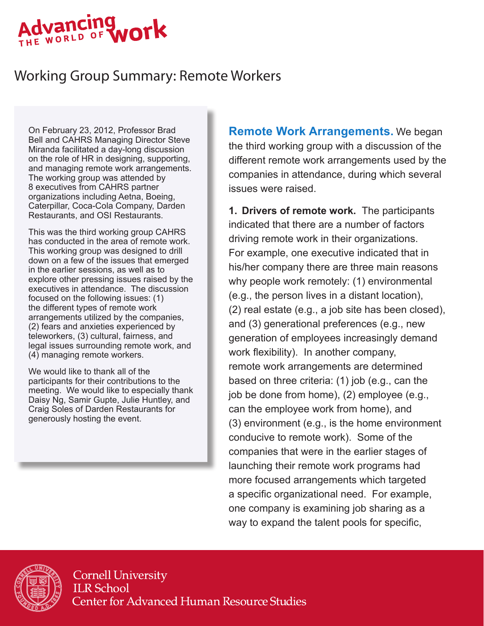#### Advancing ork THE WORLD OF

# Working Group Summary: Remote Workers

On February 23, 2012, Professor Brad Bell and CAHRS Managing Director Steve Miranda facilitated a day-long discussion on the role of HR in designing, supporting, and managing remote work arrangements. The working group was attended by 8 executives from CAHRS partner organizations including Aetna, Boeing, Caterpillar, Coca-Cola Company, Darden Restaurants, and OSI Restaurants.

This was the third working group CAHRS has conducted in the area of remote work. This working group was designed to drill down on a few of the issues that emerged in the earlier sessions, as well as to explore other pressing issues raised by the executives in attendance. The discussion focused on the following issues: (1) the different types of remote work arrangements utilized by the companies, (2) fears and anxieties experienced by teleworkers, (3) cultural, fairness, and legal issues surrounding remote work, and (4) managing remote workers.

We would like to thank all of the participants for their contributions to the meeting. We would like to especially thank Daisy Ng, Samir Gupte, Julie Huntley, and Craig Soles of Darden Restaurants for generously hosting the event.

**Remote Work Arrangements.** We began the third working group with a discussion of the different remote work arrangements used by the companies in attendance, during which several issues were raised.

**1. Drivers of remote work.** The participants indicated that there are a number of factors driving remote work in their organizations. For example, one executive indicated that in his/her company there are three main reasons why people work remotely: (1) environmental (e.g., the person lives in a distant location), (2) real estate (e.g., a job site has been closed), and (3) generational preferences (e.g., new generation of employees increasingly demand work flexibility). In another company, remote work arrangements are determined based on three criteria: (1) job (e.g., can the job be done from home), (2) employee (e.g., can the employee work from home), and (3) environment (e.g., is the home environment conducive to remote work). Some of the companies that were in the earlier stages of launching their remote work programs had more focused arrangements which targeted a specific organizational need. For example, one company is examining job sharing as a way to expand the talent pools for specific,



**Cornell University ILR** School **Center for Advanced Human Resource Studies**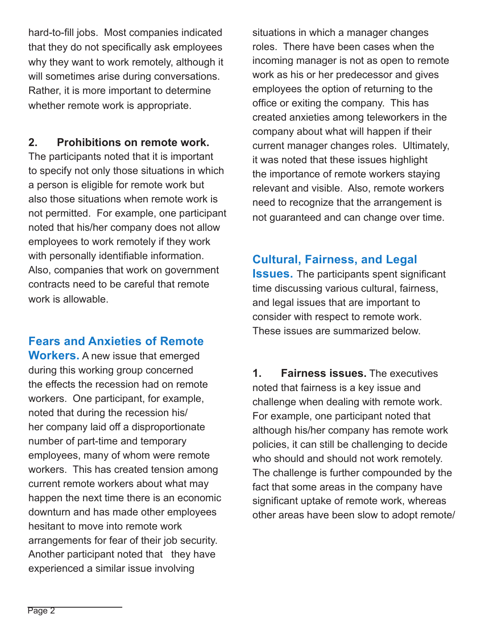hard-to-fill jobs. Most companies indicated that they do not specifically ask employees why they want to work remotely, although it will sometimes arise during conversations. Rather, it is more important to determine whether remote work is appropriate.

#### **2. Prohibitions on remote work.**

The participants noted that it is important to specify not only those situations in which a person is eligible for remote work but also those situations when remote work is not permitted. For example, one participant noted that his/her company does not allow employees to work remotely if they work with personally identifiable information. Also, companies that work on government contracts need to be careful that remote work is allowable.

#### **Fears and Anxieties of Remote**

**Workers.** A new issue that emerged during this working group concerned the effects the recession had on remote workers. One participant, for example, noted that during the recession his/ her company laid off a disproportionate number of part-time and temporary employees, many of whom were remote workers. This has created tension among current remote workers about what may happen the next time there is an economic downturn and has made other employees hesitant to move into remote work arrangements for fear of their job security. Another participant noted that they have experienced a similar issue involving

situations in which a manager changes roles. There have been cases when the incoming manager is not as open to remote work as his or her predecessor and gives employees the option of returning to the office or exiting the company. This has created anxieties among teleworkers in the company about what will happen if their current manager changes roles. Ultimately, it was noted that these issues highlight the importance of remote workers staying relevant and visible. Also, remote workers need to recognize that the arrangement is not guaranteed and can change over time.

#### **Cultural, Fairness, and Legal**

**Issues.** The participants spent significant time discussing various cultural, fairness, and legal issues that are important to consider with respect to remote work. These issues are summarized below.

**1. Fairness issues.** The executives noted that fairness is a key issue and challenge when dealing with remote work. For example, one participant noted that although his/her company has remote work policies, it can still be challenging to decide who should and should not work remotely. The challenge is further compounded by the fact that some areas in the company have significant uptake of remote work, whereas other areas have been slow to adopt remote/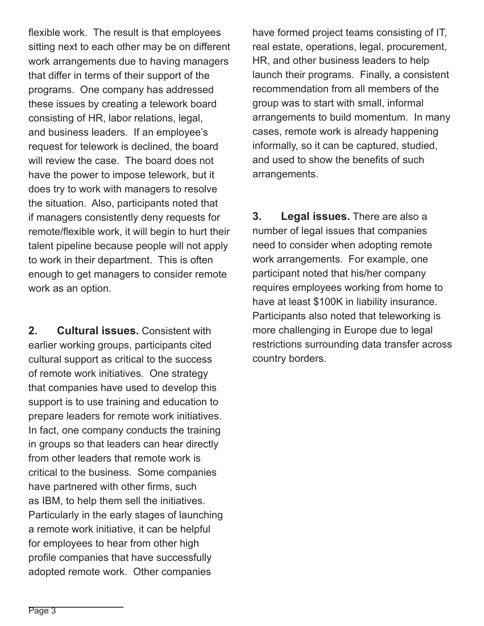flexible work. The result is that employees sitting next to each other may be on different work arrangements due to having managers that differ in terms of their support of the programs. One company has addressed these issues by creating a telework board consisting of HR, labor relations, legal, and business leaders. If an employee's request for telework is declined, the board will review the case. The board does not have the power to impose telework, but it does try to work with managers to resolve the situation. Also, participants noted that if managers consistently deny requests for remote/flexible work, it will begin to hurt their talent pipeline because people will not apply to work in their department. This is often enough to get managers to consider remote work as an option.

**2. Cultural issues.** Consistent with earlier working groups, participants cited cultural support as critical to the success of remote work initiatives. One strategy that companies have used to develop this support is to use training and education to prepare leaders for remote work initiatives. In fact, one company conducts the training in groups so that leaders can hear directly from other leaders that remote work is critical to the business. Some companies have partnered with other firms, such as IBM, to help them sell the initiatives. Particularly in the early stages of launching a remote work initiative, it can be helpful for employees to hear from other high profile companies that have successfully adopted remote work. Other companies

have formed project teams consisting of IT, real estate, operations, legal, procurement, HR, and other business leaders to help launch their programs. Finally, a consistent recommendation from all members of the group was to start with small, informal arrangements to build momentum. In many cases, remote work is already happening informally, so it can be captured, studied, and used to show the benefits of such arrangements.

**3. Legal issues.** There are also a number of legal issues that companies need to consider when adopting remote work arrangements. For example, one participant noted that his/her company requires employees working from home to have at least \$100K in liability insurance. Participants also noted that teleworking is more challenging in Europe due to legal restrictions surrounding data transfer across country borders.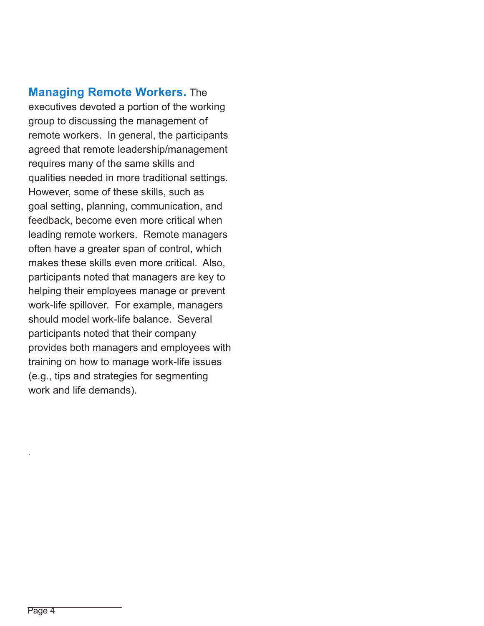**Managing Remote Workers.** The executives devoted a portion of the working group to discussing the management of remote workers. In general, the participants agreed that remote leadership/management requires many of the same skills and qualities needed in more traditional settings. However, some of these skills, such as goal setting, planning, communication, and feedback, become even more critical when leading remote workers. Remote managers often have a greater span of control, which makes these skills even more critical. Also, participants noted that managers are key to helping their employees manage or prevent work-life spillover. For example, managers should model work-life balance. Several participants noted that their company provides both managers and employees with training on how to manage work-life issues (e.g., tips and strategies for segmenting work and life demands).

.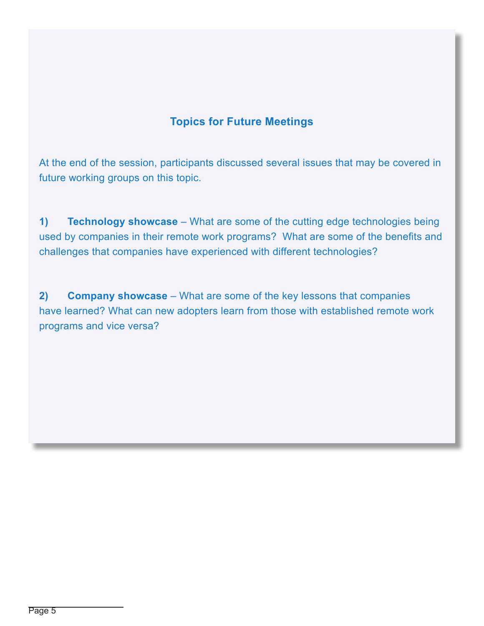### **Topics for Future Meetings**

At the end of the session, participants discussed several issues that may be covered in future working groups on this topic.

**1) Technology showcase** – What are some of the cutting edge technologies being used by companies in their remote work programs? What are some of the benefits and challenges that companies have experienced with different technologies?

**2) Company showcase** – What are some of the key lessons that companies have learned? What can new adopters learn from those with established remote work programs and vice versa?